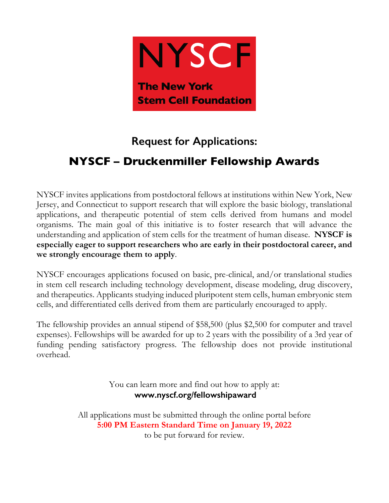

# **Request for Applications:**

# **NYSCF – Druckenmiller Fellowship Awards**

NYSCF invites applications from postdoctoral fellows at institutions within New York, New Jersey, and Connecticut to support research that will explore the basic biology, translational applications, and therapeutic potential of stem cells derived from humans and model organisms. The main goal of this initiative is to foster research that will advance the understanding and application of stem cells for the treatment of human disease. **NYSCF is especially eager to support researchers who are early in their postdoctoral career, and we strongly encourage them to apply**.

NYSCF encourages applications focused on basic, pre-clinical, and/or translational studies in stem cell research including technology development, disease modeling, drug discovery, and therapeutics. Applicants studying induced pluripotent stem cells, human embryonic stem cells, and differentiated cells derived from them are particularly encouraged to apply.

The fellowship provides an annual stipend of \$58,500 (plus \$2,500 for computer and travel expenses). Fellowships will be awarded for up to 2 years with the possibility of a 3rd year of funding pending satisfactory progress. The fellowship does not provide institutional overhead.

> You can learn more and find out how to apply at: **www.nyscf.org/fellowshipaward**

All applications must be submitted through the online portal before **5:00 PM Eastern Standard Time on January 19, 2022**  to be put forward for review.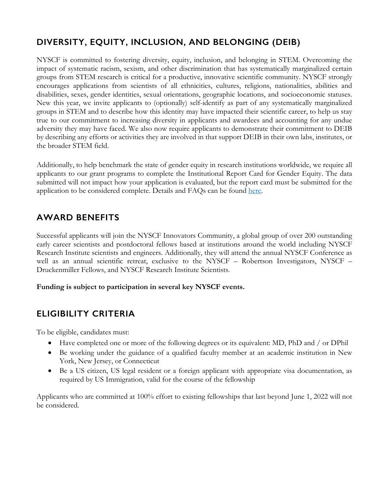## **DIVERSITY, EQUITY, INCLUSION, AND BELONGING (DEIB)**

NYSCF is committed to fostering diversity, equity, inclusion, and belonging in STEM. Overcoming the impact of systematic racism, sexism, and other discrimination that has systematically marginalized certain groups from STEM research is critical for a productive, innovative scientific community. NYSCF strongly encourages applications from scientists of all ethnicities, cultures, religions, nationalities, abilities and disabilities, sexes, gender identities, sexual orientations, geographic locations, and socioeconomic statuses. New this year, we invite applicants to (optionally) self-identify as part of any systematically marginalized groups in STEM and to describe how this identity may have impacted their scientific career, to help us stay true to our commitment to increasing diversity in applicants and awardees and accounting for any undue adversity they may have faced. We also now require applicants to demonstrate their commitment to DEIB by describing any efforts or activities they are involved in that support DEIB in their own labs, institutes, or the broader STEM field.

Additionally, to help benchmark the state of gender equity in research institutions worldwide, we require all applicants to our grant programs to complete the Institutional Report Card for Gender Equity. The data submitted will not impact how your application is evaluated, but the report card must be submitted for the application to be considered complete. Details and FAQs can be found here.

### **AWARD BENEFITS**

Successful applicants will join the NYSCF Innovators Community, a global group of over 200 outstanding early career scientists and postdoctoral fellows based at institutions around the world including NYSCF Research Institute scientists and engineers. Additionally, they will attend the annual NYSCF Conference as well as an annual scientific retreat, exclusive to the NYSCF – Robertson Investigators, NYSCF – Druckenmiller Fellows, and NYSCF Research Institute Scientists.

**Funding is subject to participation in several key NYSCF events.**

## **ELIGIBILITY CRITERIA**

To be eligible, candidates must:

- Have completed one or more of the following degrees or its equivalent: MD, PhD and / or DPhil
- Be working under the guidance of a qualified faculty member at an academic institution in New York, New Jersey, or Connecticut
- Be a US citizen, US legal resident or a foreign applicant with appropriate visa documentation, as required by US Immigration, valid for the course of the fellowship

Applicants who are committed at 100% effort to existing fellowships that last beyond June 1, 2022 will not be considered.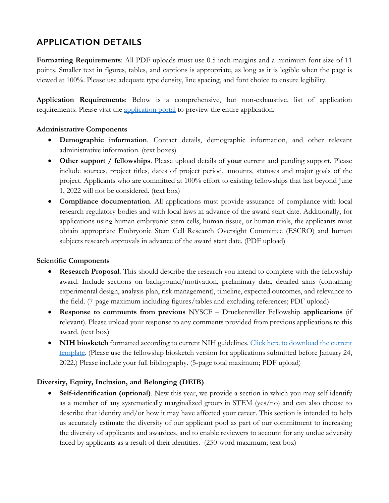## **APPLICATION DETAILS**

**Formatting Requirements**: All PDF uploads must use 0.5-inch margins and a minimum font size of 11 points. Smaller text in figures, tables, and captions is appropriate, as long as it is legible when the page is viewed at 100%. Please use adequate type density, line spacing, and font choice to ensure legibility.

**Application Requirements**: Below is a comprehensive, but non-exhaustive, list of application requirements. Please visit the application portal to preview the entire application.

#### **Administrative Components**

- **Demographic information**. Contact details, demographic information, and other relevant administrative information. (text boxes)
- **Other support / fellowships**. Please upload details of **your** current and pending support. Please include sources, project titles, dates of project period, amounts, statuses and major goals of the project. Applicants who are committed at 100% effort to existing fellowships that last beyond June 1, 2022 will not be considered. (text box)
- **Compliance documentation**. All applications must provide assurance of compliance with local research regulatory bodies and with local laws in advance of the award start date. Additionally, for applications using human embryonic stem cells, human tissue, or human trials, the applicants must obtain appropriate Embryonic Stem Cell Research Oversight Committee (ESCRO) and human subjects research approvals in advance of the award start date. (PDF upload)

#### **Scientific Components**

- **Research Proposal.** This should describe the research you intend to complete with the fellowship award. Include sections on background/motivation, preliminary data, detailed aims (containing experimental design, analysis plan, risk management), timeline, expected outcomes, and relevance to the field. (7-page maximum including figures/tables and excluding references; PDF upload)
- **Response to comments from previous** NYSCF Druckenmiller Fellowship **applications** (if relevant). Please upload your response to any comments provided from previous applications to this award. (text box)
- **NIH biosketch** formatted according to current NIH guidelines. Click here to download the current template. (Please use the fellowship biosketch version for applications submitted before January 24, 2022.) Please include your full bibliography. (5-page total maximum; PDF upload)

#### **Diversity, Equity, Inclusion, and Belonging (DEIB)**

• **Self-identification (optional)**. New this year, we provide a section in which you may self-identify as a member of any systematically marginalized group in STEM (yes/no) and can also choose to describe that identity and/or how it may have affected your career. This section is intended to help us accurately estimate the diversity of our applicant pool as part of our commitment to increasing the diversity of applicants and awardees, and to enable reviewers to account for any undue adversity faced by applicants as a result of their identities. (250-word maximum; text box)